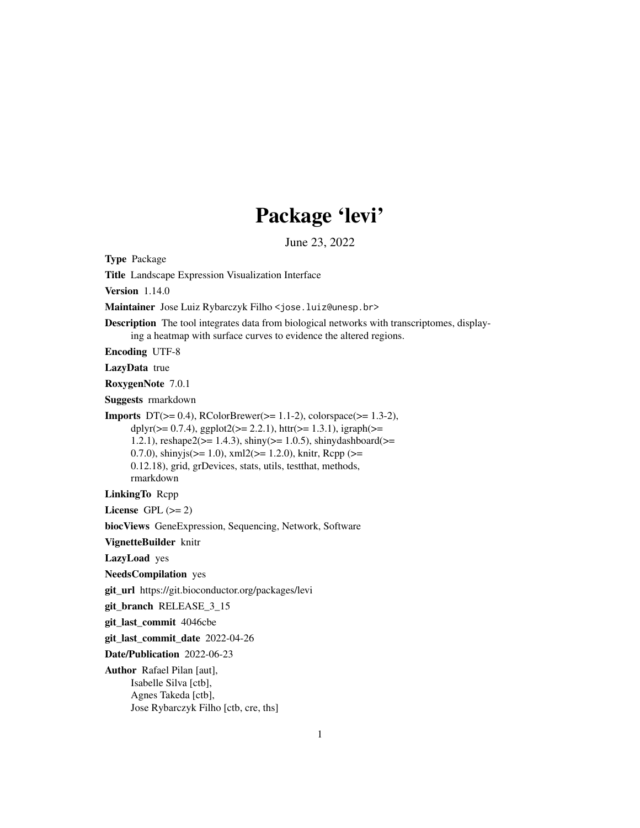# Package 'levi'

June 23, 2022

Type Package

Title Landscape Expression Visualization Interface

Version 1.14.0

Maintainer Jose Luiz Rybarczyk Filho <jose.luiz@unesp.br>

Description The tool integrates data from biological networks with transcriptomes, display-

ing a heatmap with surface curves to evidence the altered regions.

Encoding UTF-8

LazyData true

RoxygenNote 7.0.1

Suggests rmarkdown

**Imports** DT( $>= 0.4$ ), RColorBrewer( $>= 1.1-2$ ), colorspace( $>= 1.3-2$ ), dplyr( $>= 0.7.4$ ), ggplot2( $>= 2.2.1$ ), httr( $>= 1.3.1$ ), igraph( $>=$ 1.2.1),  $reshape2(>= 1.4.3)$ ,  $shiny(>= 1.0.5)$ ,  $shinydashboard(>=$ 0.7.0), shinyjs( $>= 1.0$ ), xml2( $>= 1.2.0$ ), knitr, Rcpp ( $>=$ 0.12.18), grid, grDevices, stats, utils, testthat, methods, rmarkdown

LinkingTo Rcpp

License GPL  $(>= 2)$ 

biocViews GeneExpression, Sequencing, Network, Software

VignetteBuilder knitr

LazyLoad yes

NeedsCompilation yes

git\_url https://git.bioconductor.org/packages/levi

git\_branch RELEASE\_3\_15

git\_last\_commit 4046cbe

git\_last\_commit\_date 2022-04-26

Date/Publication 2022-06-23

Author Rafael Pilan [aut], Isabelle Silva [ctb], Agnes Takeda [ctb], Jose Rybarczyk Filho [ctb, cre, ths]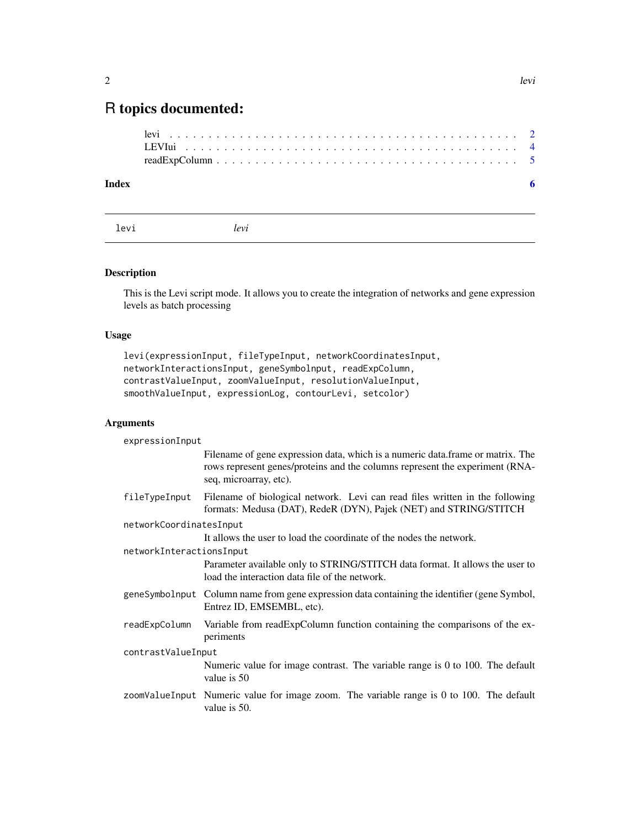## <span id="page-1-0"></span>R topics documented:

| Index |  |
|-------|--|
|       |  |
|       |  |
|       |  |

levi *levi*

### Description

This is the Levi script mode. It allows you to create the integration of networks and gene expression levels as batch processing

#### Usage

```
levi(expressionInput, fileTypeInput, networkCoordinatesInput,
networkInteractionsInput, geneSymbolnput, readExpColumn,
contrastValueInput, zoomValueInput, resolutionValueInput,
smoothValueInput, expressionLog, contourLevi, setcolor)
```
#### Arguments

expressionInput

|                          | Filename of gene expression data, which is a numeric data.frame or matrix. The<br>rows represent genes/proteins and the columns represent the experiment (RNA-<br>seq, microarray, etc). |  |  |  |
|--------------------------|------------------------------------------------------------------------------------------------------------------------------------------------------------------------------------------|--|--|--|
| fileTypeInput            | Filename of biological network. Levi can read files written in the following<br>formats: Medusa (DAT), RedeR (DYN), Pajek (NET) and STRING/STITCH                                        |  |  |  |
| networkCoordinatesInput  |                                                                                                                                                                                          |  |  |  |
|                          | It allows the user to load the coordinate of the nodes the network.                                                                                                                      |  |  |  |
| networkInteractionsInput |                                                                                                                                                                                          |  |  |  |
|                          | Parameter available only to STRING/STITCH data format. It allows the user to<br>load the interaction data file of the network.                                                           |  |  |  |
|                          | geneSymbolnput Column name from gene expression data containing the identifier (gene Symbol,<br>Entrez ID, EMSEMBL, etc).                                                                |  |  |  |
| readExpColumn            | Variable from readExpColumn function containing the comparisons of the ex-<br>periments                                                                                                  |  |  |  |
| contrastValueInput       |                                                                                                                                                                                          |  |  |  |
|                          | Numeric value for image contrast. The variable range is 0 to 100. The default<br>value is 50                                                                                             |  |  |  |
|                          | zoomValueInput Numeric value for image zoom. The variable range is 0 to 100. The default<br>value is 50.                                                                                 |  |  |  |
|                          |                                                                                                                                                                                          |  |  |  |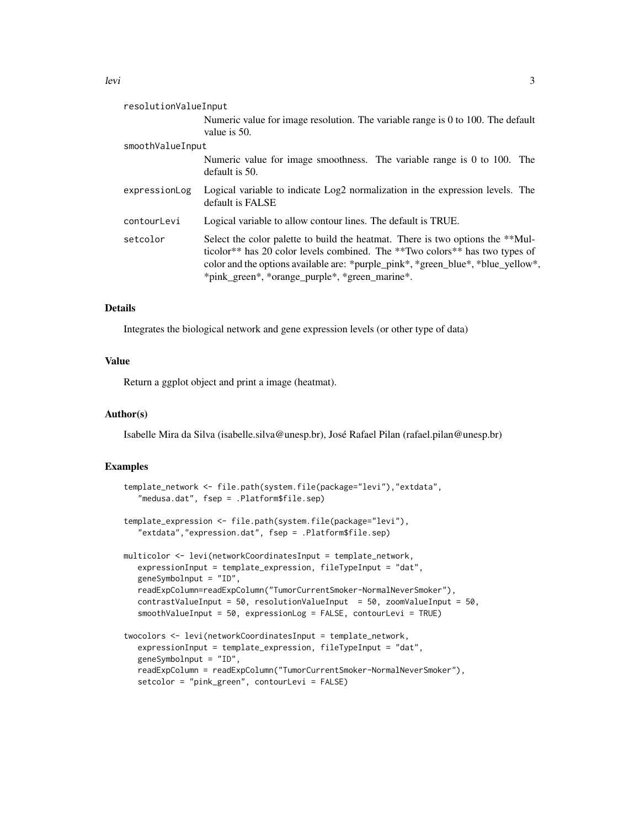| resolutionValueInput |                                                                                                                                                                                                                                    |
|----------------------|------------------------------------------------------------------------------------------------------------------------------------------------------------------------------------------------------------------------------------|
|                      | Numeric value for image resolution. The variable range is 0 to 100. The default<br>value is 50.                                                                                                                                    |
| smoothValueInput     |                                                                                                                                                                                                                                    |
|                      | Numeric value for image smoothness. The variable range is 0 to 100. The<br>default is 50.                                                                                                                                          |
| expressionLog        | Logical variable to indicate Log2 normalization in the expression levels. The<br>default is FALSE                                                                                                                                  |
| contourLevi          | Logical variable to allow contour lines. The default is TRUE.                                                                                                                                                                      |
|                      | $\mathcal{A}$ , and a second contract the contract of the contract of the contract of the contract of the contract of the contract of the contract of the contract of the contract of the contract of the contract of the contract |

setcolor Select the color palette to build the heatmat. There is two options the \*\*Multicolor\*\* has 20 color levels combined. The \*\*Two colors\*\* has two types of color and the options available are: \*purple\_pink\*, \*green\_blue\*, \*blue\_yellow\*, \*pink\_green\*, \*orange\_purple\*, \*green\_marine\*.

#### Details

Integrates the biological network and gene expression levels (or other type of data)

#### Value

Return a ggplot object and print a image (heatmat).

#### Author(s)

Isabelle Mira da Silva (isabelle.silva@unesp.br), José Rafael Pilan (rafael.pilan@unesp.br)

#### Examples

```
template_network <- file.path(system.file(package="levi"),"extdata",
   "medusa.dat", fsep = .Platform$file.sep)
template_expression <- file.path(system.file(package="levi"),
   "extdata","expression.dat", fsep = .Platform$file.sep)
multicolor <- levi(networkCoordinatesInput = template_network,
  expressionInput = template_expression, fileTypeInput = "dat",
   geneSymbolnput = "ID",
  readExpColumn=readExpColumn("TumorCurrentSmoker-NormalNeverSmoker"),
   contrastValueInput = 50, resolutionValueInput = 50, zoomValueInput = 50,
   smoothValueInput = 50, expressionLog = FALSE, contourLevi = TRUE)
twocolors <- levi(networkCoordinatesInput = template_network,
   expressionInput = template_expression, fileTypeInput = "dat",
   geneSymbolnput = "ID",
  readExpColumn = readExpColumn("TumorCurrentSmoker-NormalNeverSmoker"),
   setcolor = "pink_green", contourLevi = FALSE)
```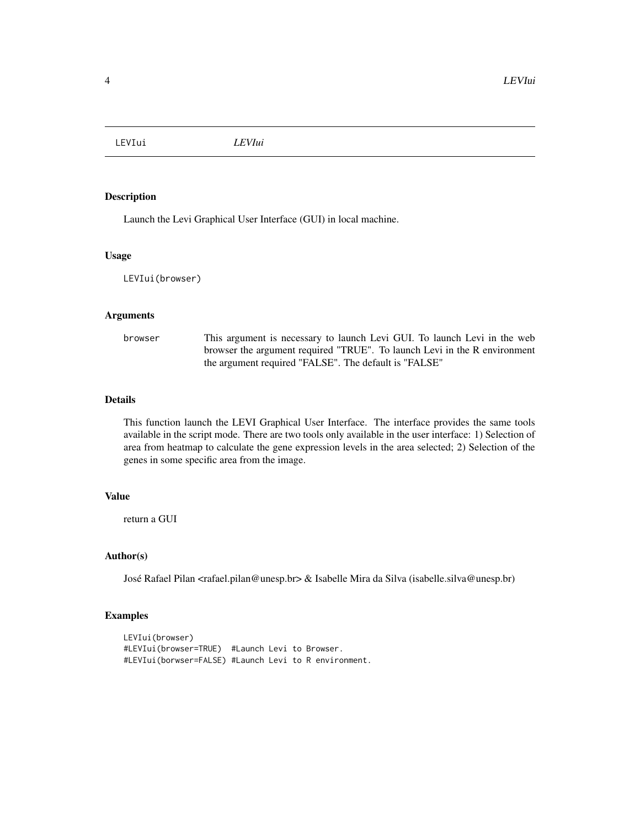<span id="page-3-0"></span>LEVIui *LEVIui*

#### Description

Launch the Levi Graphical User Interface (GUI) in local machine.

#### Usage

LEVIui(browser)

#### Arguments

browser This argument is necessary to launch Levi GUI. To launch Levi in the web browser the argument required "TRUE". To launch Levi in the R environment the argument required "FALSE". The default is "FALSE"

#### Details

This function launch the LEVI Graphical User Interface. The interface provides the same tools available in the script mode. There are two tools only available in the user interface: 1) Selection of area from heatmap to calculate the gene expression levels in the area selected; 2) Selection of the genes in some specific area from the image.

#### Value

return a GUI

#### Author(s)

José Rafael Pilan <rafael.pilan@unesp.br> & Isabelle Mira da Silva (isabelle.silva@unesp.br)

#### Examples

```
LEVIui(browser)
#LEVIui(browser=TRUE) #Launch Levi to Browser.
#LEVIui(borwser=FALSE) #Launch Levi to R environment.
```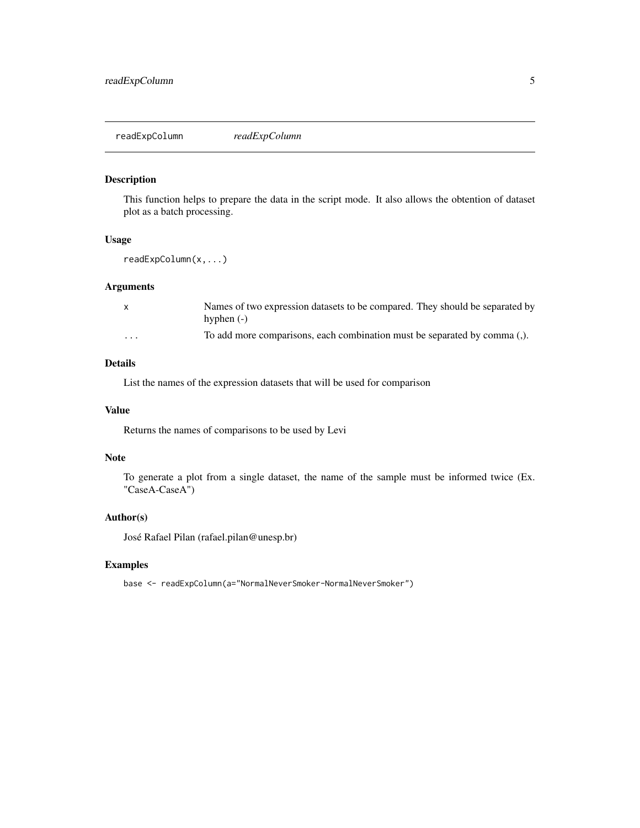<span id="page-4-0"></span>readExpColumn *readExpColumn*

#### Description

This function helps to prepare the data in the script mode. It also allows the obtention of dataset plot as a batch processing.

#### Usage

readExpColumn(x,...)

#### Arguments

| X                       | Names of two expression datasets to be compared. They should be separated by |
|-------------------------|------------------------------------------------------------------------------|
|                         | hyphen $(-)$                                                                 |
| $\cdot$ $\cdot$ $\cdot$ | To add more comparisons, each combination must be separated by comma (.).    |

#### Details

List the names of the expression datasets that will be used for comparison

#### Value

Returns the names of comparisons to be used by Levi

#### Note

To generate a plot from a single dataset, the name of the sample must be informed twice (Ex. "CaseA-CaseA")

#### Author(s)

José Rafael Pilan (rafael.pilan@unesp.br)

#### Examples

base <- readExpColumn(a="NormalNeverSmoker-NormalNeverSmoker")